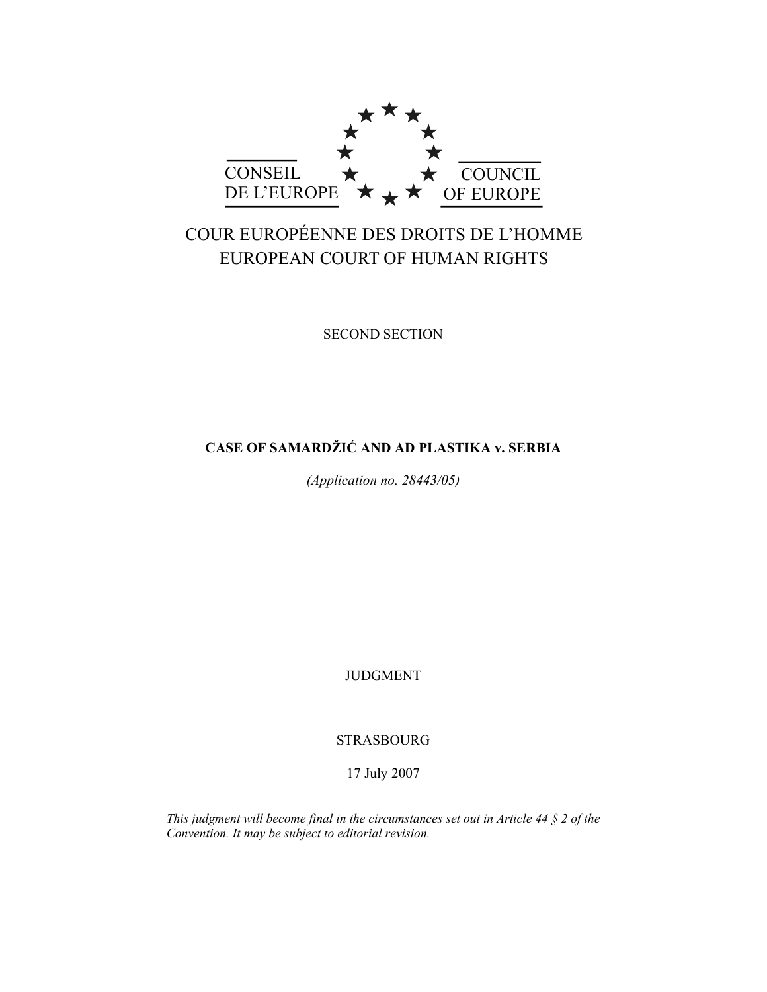

# COUR EUROPÉENNE DES DROITS DE L'HOMME EUROPEAN COURT OF HUMAN RIGHTS

SECOND SECTION

## **CASE OF SAMARDŽIĆ AND AD PLASTIKA v. SERBIA**

*(Application no. 28443/05)* 

JUDGMENT

STRASBOURG

17 July 2007

*This judgment will become final in the circumstances set out in Article 44 § 2 of the Convention. It may be subject to editorial revision.*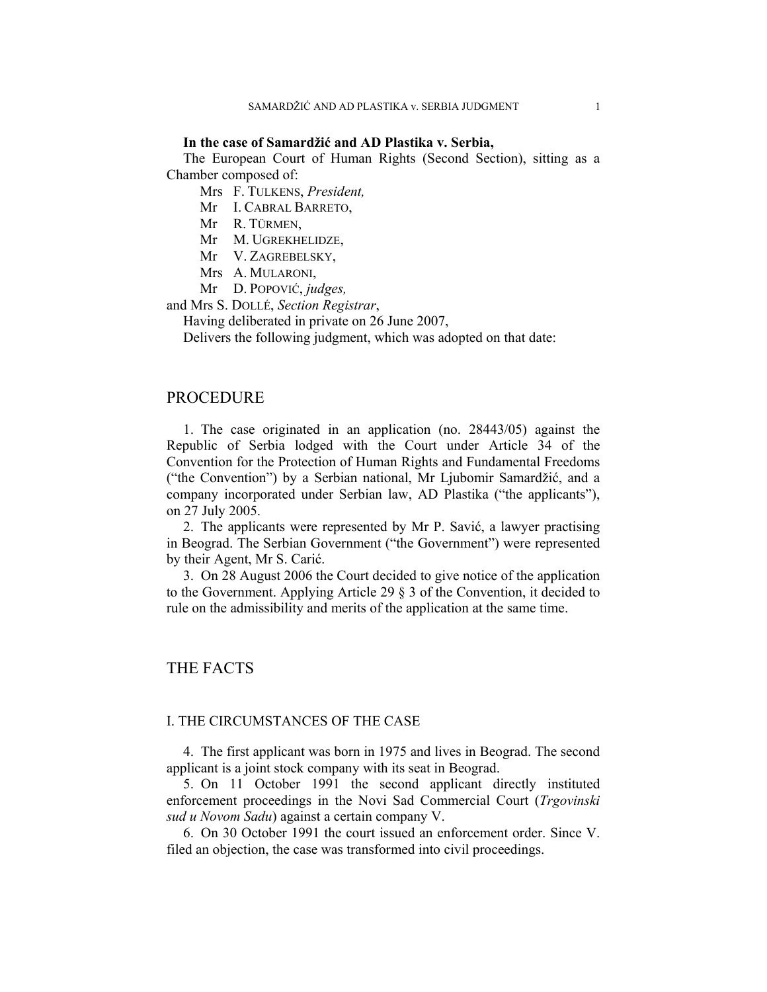#### **In the case of Samardžić and AD Plastika v. Serbia,**

The European Court of Human Rights (Second Section), sitting as a Chamber composed of:

Mrs F. TULKENS, *President,* 

Mr I. CABRAL BARRETO,

Mr R. TÜRMEN,

Mr M. UGREKHELIDZE,

Mr V. ZAGREBELSKY,

Mrs A. MULARONI,

Mr D. POPOVIĆ, *judges,*

and Mrs S. DOLLÉ, *Section Registrar*,

Having deliberated in private on 26 June 2007,

Delivers the following judgment, which was adopted on that date:

#### PROCEDURE

1. The case originated in an application (no. 28443/05) against the Republic of Serbia lodged with the Court under Article 34 of the Convention for the Protection of Human Rights and Fundamental Freedoms ("the Convention") by a Serbian national, Mr Ljubomir Samardžić, and a company incorporated under Serbian law, AD Plastika ("the applicants"), on 27 July 2005.

2. The applicants were represented by Mr P. Savić, a lawyer practising in Beograd. The Serbian Government ("the Government") were represented by their Agent, Mr S. Carić.

3. On 28 August 2006 the Court decided to give notice of the application to the Government. Applying Article 29 § 3 of the Convention, it decided to rule on the admissibility and merits of the application at the same time.

## THE FACTS

#### I. THE CIRCUMSTANCES OF THE CASE

4. The first applicant was born in 1975 and lives in Beograd. The second applicant is a joint stock company with its seat in Beograd.

5. On 11 October 1991 the second applicant directly instituted enforcement proceedings in the Novi Sad Commercial Court (*Trgovinski sud u Novom Sadu*) against a certain company V.

6. On 30 October 1991 the court issued an enforcement order. Since V. filed an objection, the case was transformed into civil proceedings.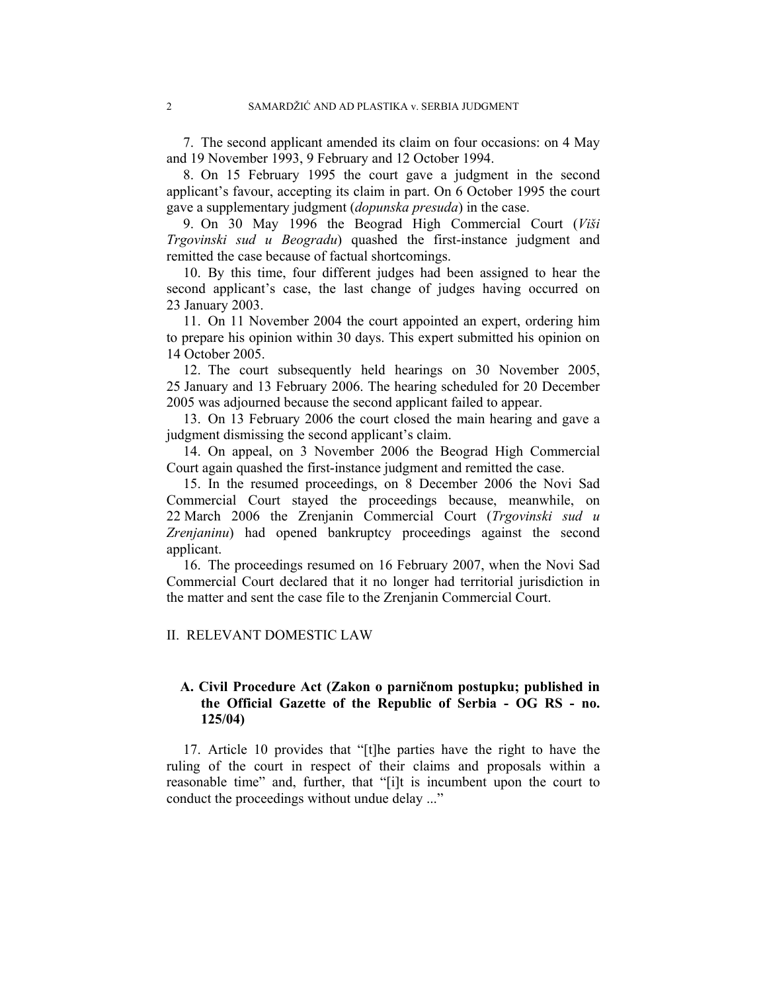7. The second applicant amended its claim on four occasions: on 4 May and 19 November 1993, 9 February and 12 October 1994.

8. On 15 February 1995 the court gave a judgment in the second applicant's favour, accepting its claim in part. On 6 October 1995 the court gave a supplementary judgment (*dopunska presuda*) in the case.

9. On 30 May 1996 the Beograd High Commercial Court (*Viši Trgovinski sud u Beogradu*) quashed the first-instance judgment and remitted the case because of factual shortcomings.

10. By this time, four different judges had been assigned to hear the second applicant's case, the last change of judges having occurred on 23 January 2003.

11. On 11 November 2004 the court appointed an expert, ordering him to prepare his opinion within 30 days. This expert submitted his opinion on 14 October 2005.

12. The court subsequently held hearings on 30 November 2005, 25 January and 13 February 2006. The hearing scheduled for 20 December 2005 was adjourned because the second applicant failed to appear.

13. On 13 February 2006 the court closed the main hearing and gave a judgment dismissing the second applicant's claim.

14. On appeal, on 3 November 2006 the Beograd High Commercial Court again quashed the first-instance judgment and remitted the case.

15. In the resumed proceedings, on 8 December 2006 the Novi Sad Commercial Court stayed the proceedings because, meanwhile, on 22 March 2006 the Zrenjanin Commercial Court (*Trgovinski sud u Zrenjaninu*) had opened bankruptcy proceedings against the second applicant.

16. The proceedings resumed on 16 February 2007, when the Novi Sad Commercial Court declared that it no longer had territorial jurisdiction in the matter and sent the case file to the Zrenjanin Commercial Court.

#### II. RELEVANT DOMESTIC LAW

## **A. Civil Procedure Act (Zakon o parničnom postupku; published in the Official Gazette of the Republic of Serbia - OG RS - no. 125/04)**

17. Article 10 provides that "[t]he parties have the right to have the ruling of the court in respect of their claims and proposals within a reasonable time" and, further, that "[i]t is incumbent upon the court to conduct the proceedings without undue delay ..."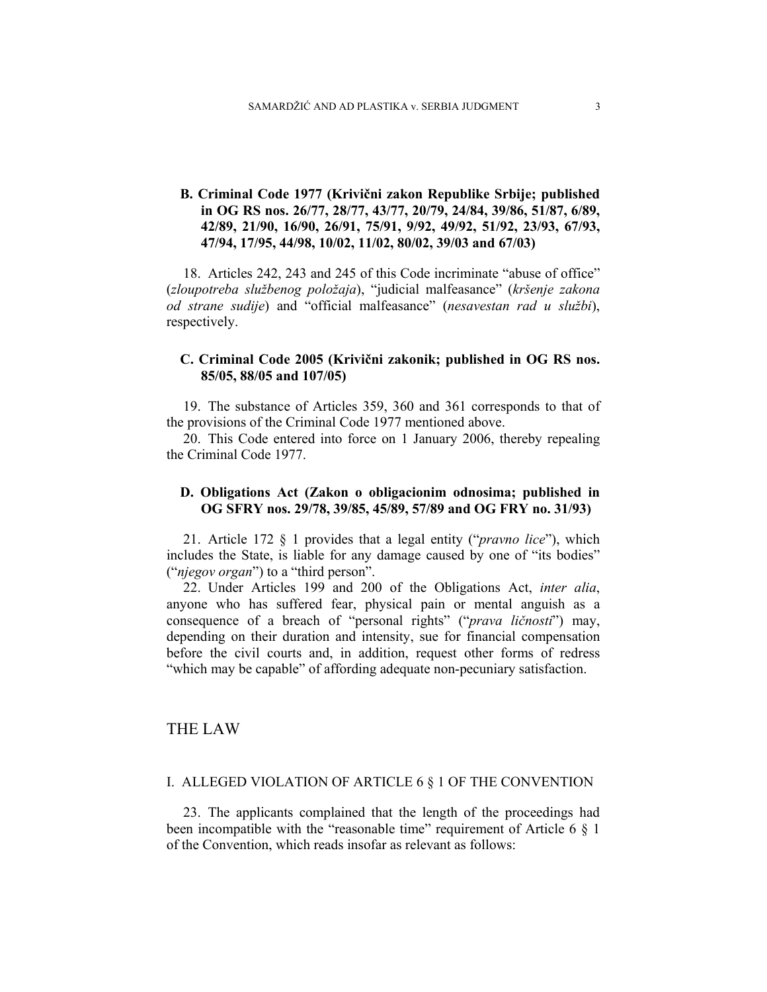## **B. Criminal Code 1977 (Krivični zakon Republike Srbije; published in OG RS nos. 26/77, 28/77, 43/77, 20/79, 24/84, 39/86, 51/87, 6/89, 42/89, 21/90, 16/90, 26/91, 75/91, 9/92, 49/92, 51/92, 23/93, 67/93, 47/94, 17/95, 44/98, 10/02, 11/02, 80/02, 39/03 and 67/03)**

18. Articles 242, 243 and 245 of this Code incriminate "abuse of office" (*zloupotreba službenog položaja*), "judicial malfeasance" (*kršenje zakona od strane sudije*) and "official malfeasance" (*nesavestan rad u službi*), respectively.

## **C. Criminal Code 2005 (Krivični zakonik; published in OG RS nos. 85/05, 88/05 and 107/05)**

19. The substance of Articles 359, 360 and 361 corresponds to that of the provisions of the Criminal Code 1977 mentioned above.

20. This Code entered into force on 1 January 2006, thereby repealing the Criminal Code 1977.

## **D. Obligations Act (Zakon o obligacionim odnosima; published in OG SFRY nos. 29/78, 39/85, 45/89, 57/89 and OG FRY no. 31/93)**

21. Article 172 § 1 provides that a legal entity ("*pravno lice*"), which includes the State, is liable for any damage caused by one of "its bodies" ("*njegov organ*") to a "third person".

22. Under Articles 199 and 200 of the Obligations Act, *inter alia*, anyone who has suffered fear, physical pain or mental anguish as a consequence of a breach of "personal rights" ("*prava ličnosti*") may, depending on their duration and intensity, sue for financial compensation before the civil courts and, in addition, request other forms of redress "which may be capable" of affording adequate non-pecuniary satisfaction.

## THE LAW

#### I. ALLEGED VIOLATION OF ARTICLE 6 § 1 OF THE CONVENTION

23. The applicants complained that the length of the proceedings had been incompatible with the "reasonable time" requirement of Article  $6 \& 1$ of the Convention, which reads insofar as relevant as follows: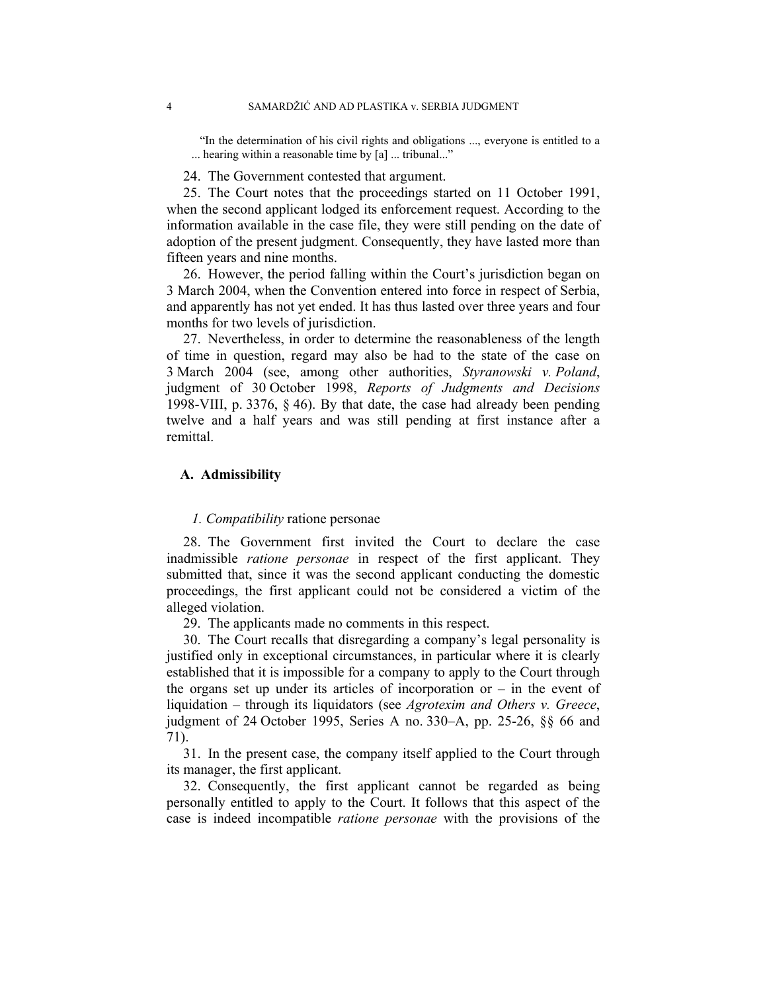"In the determination of his civil rights and obligations ..., everyone is entitled to a ... hearing within a reasonable time by [a] ... tribunal..."

24. The Government contested that argument.

25. The Court notes that the proceedings started on 11 October 1991, when the second applicant lodged its enforcement request. According to the information available in the case file, they were still pending on the date of adoption of the present judgment. Consequently, they have lasted more than fifteen years and nine months.

26. However, the period falling within the Court's jurisdiction began on 3 March 2004, when the Convention entered into force in respect of Serbia, and apparently has not yet ended. It has thus lasted over three years and four months for two levels of jurisdiction.

27. Nevertheless, in order to determine the reasonableness of the length of time in question, regard may also be had to the state of the case on 3 March 2004 (see, among other authorities, *Styranowski v. Poland*, judgment of 30 October 1998, *Reports of Judgments and Decisions* 1998-VIII, p. 3376, § 46). By that date, the case had already been pending twelve and a half years and was still pending at first instance after a remittal.

## **A. Admissibility**

#### *1. Compatibility* ratione personae

28. The Government first invited the Court to declare the case inadmissible *ratione personae* in respect of the first applicant. They submitted that, since it was the second applicant conducting the domestic proceedings, the first applicant could not be considered a victim of the alleged violation.

29. The applicants made no comments in this respect.

30. The Court recalls that disregarding a company's legal personality is justified only in exceptional circumstances, in particular where it is clearly established that it is impossible for a company to apply to the Court through the organs set up under its articles of incorporation or – in the event of liquidation – through its liquidators (see *Agrotexim and Others v. Greece*, judgment of 24 October 1995, Series A no. 330–A, pp. 25-26, §§ 66 and 71).

31. In the present case, the company itself applied to the Court through its manager, the first applicant.

32. Consequently, the first applicant cannot be regarded as being personally entitled to apply to the Court. It follows that this aspect of the case is indeed incompatible *ratione personae* with the provisions of the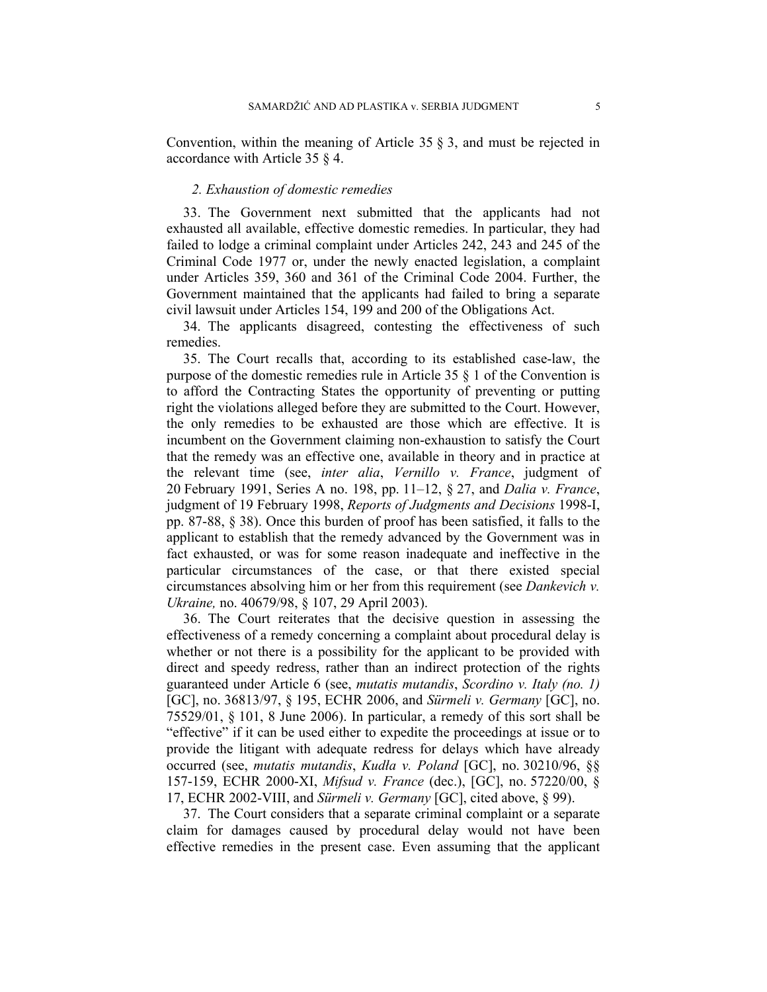Convention, within the meaning of Article 35  $\S$  3, and must be rejected in accordance with Article 35 § 4.

#### *2. Exhaustion of domestic remedies*

33. The Government next submitted that the applicants had not exhausted all available, effective domestic remedies. In particular, they had failed to lodge a criminal complaint under Articles 242, 243 and 245 of the Criminal Code 1977 or, under the newly enacted legislation, a complaint under Articles 359, 360 and 361 of the Criminal Code 2004. Further, the Government maintained that the applicants had failed to bring a separate civil lawsuit under Articles 154, 199 and 200 of the Obligations Act.

34. The applicants disagreed, contesting the effectiveness of such remedies.

35. The Court recalls that, according to its established case-law, the purpose of the domestic remedies rule in Article 35 § 1 of the Convention is to afford the Contracting States the opportunity of preventing or putting right the violations alleged before they are submitted to the Court. However, the only remedies to be exhausted are those which are effective. It is incumbent on the Government claiming non-exhaustion to satisfy the Court that the remedy was an effective one, available in theory and in practice at the relevant time (see, *inter alia*, *Vernillo v. France*, judgment of 20 February 1991, Series A no. 198, pp. 11–12, § 27, and *Dalia v. France*, judgment of 19 February 1998, *Reports of Judgments and Decisions* 1998-I, pp. 87-88, § 38). Once this burden of proof has been satisfied, it falls to the applicant to establish that the remedy advanced by the Government was in fact exhausted, or was for some reason inadequate and ineffective in the particular circumstances of the case, or that there existed special circumstances absolving him or her from this requirement (see *Dankevich v. Ukraine,* no. 40679/98, § 107, 29 April 2003).

36. The Court reiterates that the decisive question in assessing the effectiveness of a remedy concerning a complaint about procedural delay is whether or not there is a possibility for the applicant to be provided with direct and speedy redress, rather than an indirect protection of the rights guaranteed under Article 6 (see, *mutatis mutandis*, *Scordino v. Italy (no. 1)* [GC], no. 36813/97, § 195, ECHR 2006, and *Sürmeli v. Germany* [GC], no. 75529/01, § 101, 8 June 2006). In particular, a remedy of this sort shall be "effective" if it can be used either to expedite the proceedings at issue or to provide the litigant with adequate redress for delays which have already occurred (see, *mutatis mutandis*, *Kudła v. Poland* [GC], no. 30210/96, §§ 157-159, ECHR 2000-XI, *Mifsud v. France* (dec.), [GC], no. 57220/00, § 17, ECHR 2002-VIII, and *Sürmeli v. Germany* [GC], cited above, § 99).

37. The Court considers that a separate criminal complaint or a separate claim for damages caused by procedural delay would not have been effective remedies in the present case. Even assuming that the applicant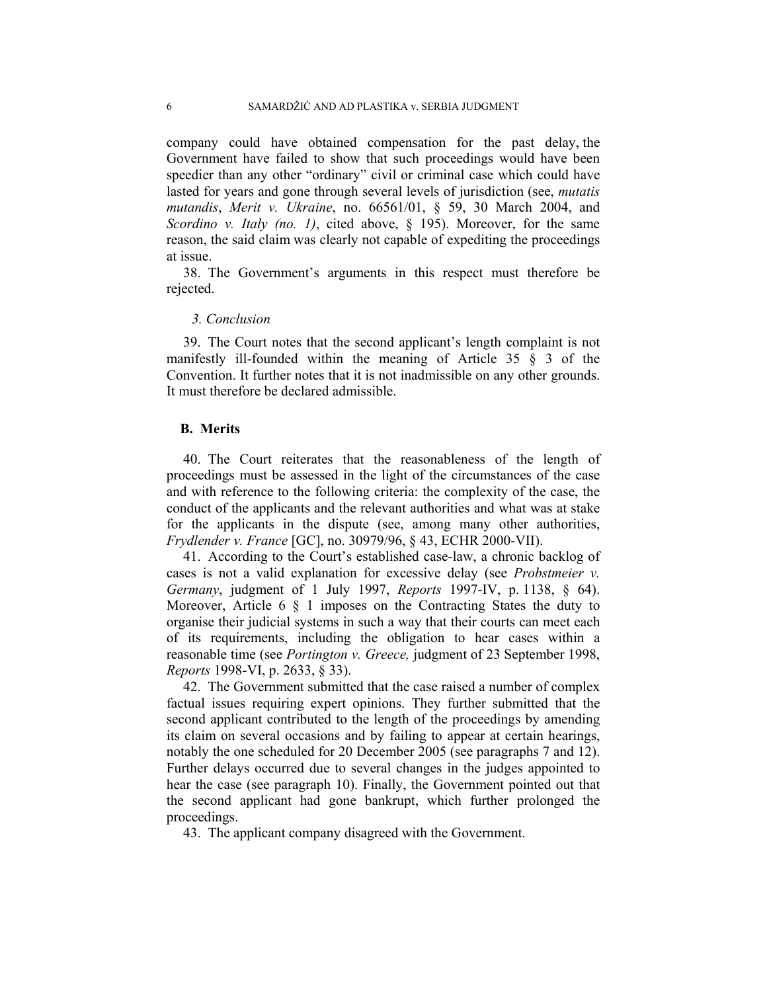company could have obtained compensation for the past delay, the Government have failed to show that such proceedings would have been speedier than any other "ordinary" civil or criminal case which could have lasted for years and gone through several levels of jurisdiction (see, *mutatis mutandis*, *Merit v. Ukraine*, no. 66561/01, § 59, 30 March 2004, and *Scordino v. Italy (no. 1)*, cited above, § 195). Moreover, for the same reason, the said claim was clearly not capable of expediting the proceedings at issue.

38. The Government's arguments in this respect must therefore be rejected.

#### *3. Conclusion*

39. The Court notes that the second applicant's length complaint is not manifestly ill-founded within the meaning of Article 35 § 3 of the Convention. It further notes that it is not inadmissible on any other grounds. It must therefore be declared admissible.

## **B. Merits**

40. The Court reiterates that the reasonableness of the length of proceedings must be assessed in the light of the circumstances of the case and with reference to the following criteria: the complexity of the case, the conduct of the applicants and the relevant authorities and what was at stake for the applicants in the dispute (see, among many other authorities, *Frydlender v. France* [GC], no. 30979/96, § 43, ECHR 2000-VII).

41. According to the Court's established case-law, a chronic backlog of cases is not a valid explanation for excessive delay (see *Probstmeier v. Germany*, judgment of 1 July 1997, *Reports* 1997-IV, p. 1138, § 64). Moreover, Article 6 § 1 imposes on the Contracting States the duty to organise their judicial systems in such a way that their courts can meet each of its requirements, including the obligation to hear cases within a reasonable time (see *Portington v. Greece,* judgment of 23 September 1998, *Reports* 1998-VI, p. 2633, § 33).

42. The Government submitted that the case raised a number of complex factual issues requiring expert opinions. They further submitted that the second applicant contributed to the length of the proceedings by amending its claim on several occasions and by failing to appear at certain hearings, notably the one scheduled for 20 December 2005 (see paragraphs 7 and 12). Further delays occurred due to several changes in the judges appointed to hear the case (see paragraph 10). Finally, the Government pointed out that the second applicant had gone bankrupt, which further prolonged the proceedings.

43. The applicant company disagreed with the Government.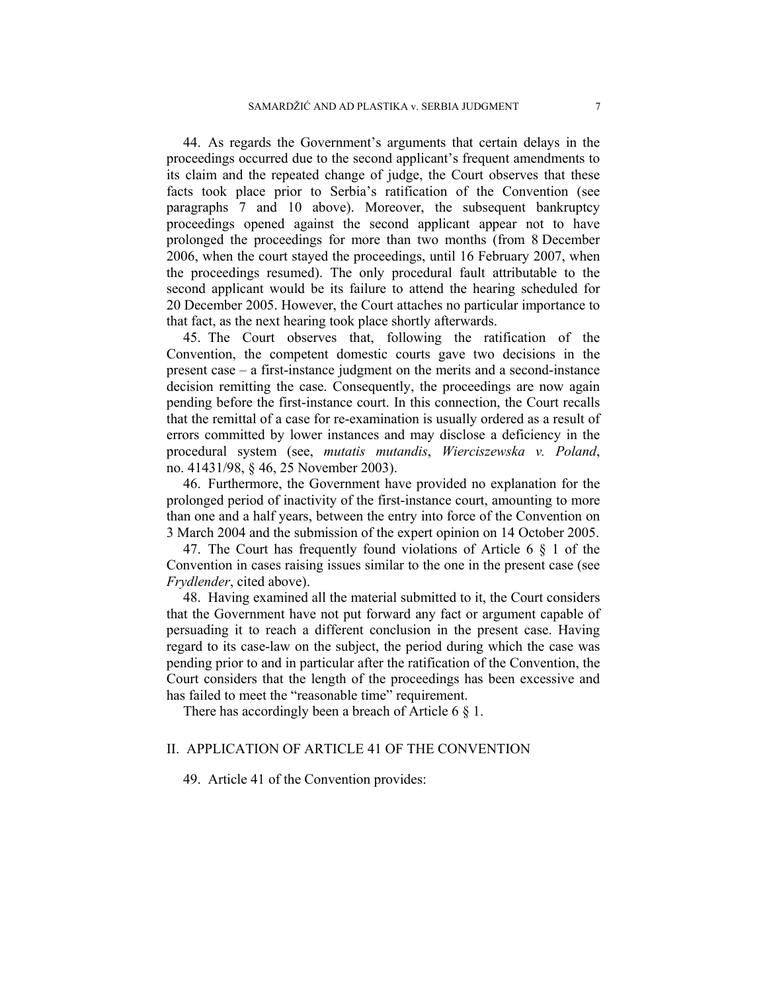44. As regards the Government's arguments that certain delays in the proceedings occurred due to the second applicant's frequent amendments to its claim and the repeated change of judge, the Court observes that these facts took place prior to Serbia's ratification of the Convention (see paragraphs 7 and 10 above). Moreover, the subsequent bankruptcy proceedings opened against the second applicant appear not to have prolonged the proceedings for more than two months (from 8 December 2006, when the court stayed the proceedings, until 16 February 2007, when the proceedings resumed). The only procedural fault attributable to the second applicant would be its failure to attend the hearing scheduled for 20 December 2005. However, the Court attaches no particular importance to that fact, as the next hearing took place shortly afterwards.

45. The Court observes that, following the ratification of the Convention, the competent domestic courts gave two decisions in the present case – a first-instance judgment on the merits and a second-instance decision remitting the case. Consequently, the proceedings are now again pending before the first-instance court. In this connection, the Court recalls that the remittal of a case for re-examination is usually ordered as a result of errors committed by lower instances and may disclose a deficiency in the procedural system (see, *mutatis mutandis*, *Wierciszewska v. Poland*, no. 41431/98, § 46, 25 November 2003).

46. Furthermore, the Government have provided no explanation for the prolonged period of inactivity of the first-instance court, amounting to more than one and a half years, between the entry into force of the Convention on 3 March 2004 and the submission of the expert opinion on 14 October 2005.

47. The Court has frequently found violations of Article 6 § 1 of the Convention in cases raising issues similar to the one in the present case (see *Frydlender*, cited above).

48. Having examined all the material submitted to it, the Court considers that the Government have not put forward any fact or argument capable of persuading it to reach a different conclusion in the present case. Having regard to its case-law on the subject, the period during which the case was pending prior to and in particular after the ratification of the Convention, the Court considers that the length of the proceedings has been excessive and has failed to meet the "reasonable time" requirement.

There has accordingly been a breach of Article 6  $\S$  1.

#### II. APPLICATION OF ARTICLE 41 OF THE CONVENTION

49. Article 41 of the Convention provides: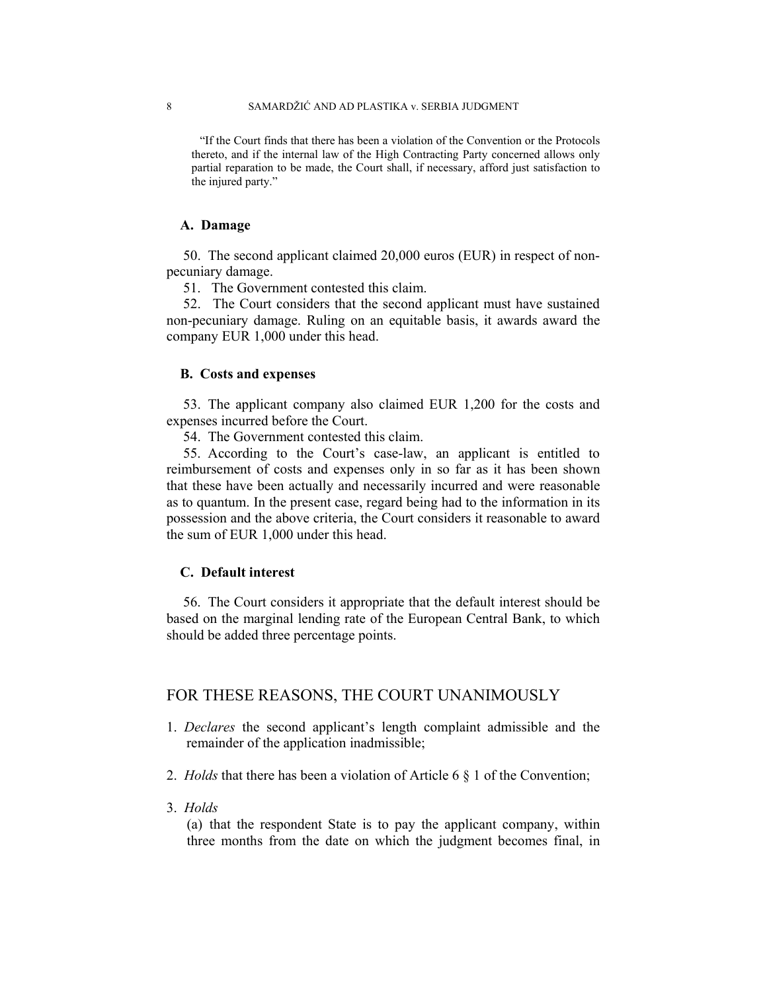"If the Court finds that there has been a violation of the Convention or the Protocols thereto, and if the internal law of the High Contracting Party concerned allows only partial reparation to be made, the Court shall, if necessary, afford just satisfaction to the injured party."

#### **A. Damage**

50. The second applicant claimed 20,000 euros (EUR) in respect of nonpecuniary damage.

51. The Government contested this claim.

52. The Court considers that the second applicant must have sustained non-pecuniary damage. Ruling on an equitable basis, it awards award the company EUR 1,000 under this head.

#### **B. Costs and expenses**

53. The applicant company also claimed EUR 1,200 for the costs and expenses incurred before the Court.

54. The Government contested this claim.

55. According to the Court's case-law, an applicant is entitled to reimbursement of costs and expenses only in so far as it has been shown that these have been actually and necessarily incurred and were reasonable as to quantum. In the present case, regard being had to the information in its possession and the above criteria, the Court considers it reasonable to award the sum of EUR 1,000 under this head.

#### **C. Default interest**

56. The Court considers it appropriate that the default interest should be based on the marginal lending rate of the European Central Bank, to which should be added three percentage points.

## FOR THESE REASONS, THE COURT UNANIMOUSLY

- 1. *Declares* the second applicant's length complaint admissible and the remainder of the application inadmissible;
- 2. *Holds* that there has been a violation of Article 6 § 1 of the Convention;
- 3. *Holds*

(a) that the respondent State is to pay the applicant company, within three months from the date on which the judgment becomes final, in